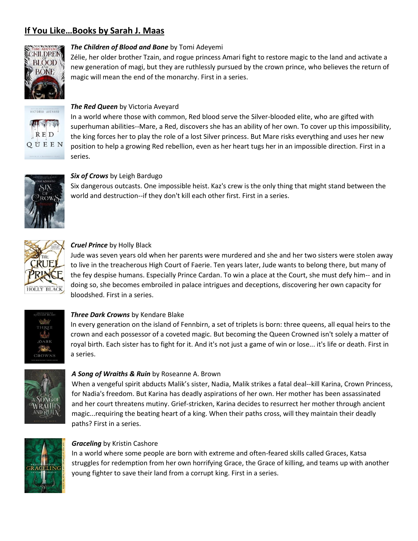# **If You Like…Books by Sarah J. Maas**



# *The Children of Blood and Bone* by Tomi Adeyemi

Zélie, her older brother Tzain, and rogue princess Amari fight to restore magic to the land and activate a new generation of magi, but they are ruthlessly pursued by the crown prince, who believes the return of magic will mean the end of the monarchy. First in a series.



## *The Red Queen* by Victoria Aveyard

In a world where those with common, Red blood serve the Silver-blooded elite, who are gifted with superhuman abilities--Mare, a Red, discovers she has an ability of her own. To cover up this impossibility, the king forces her to play the role of a lost Silver princess. But Mare risks everything and uses her new position to help a growing Red rebellion, even as her heart tugs her in an impossible direction. First in a series.



#### *Six of Crows* by Leigh Bardugo

Six dangerous outcasts. One impossible heist. Kaz's crew is the only thing that might stand between the world and destruction--if they don't kill each other first. First in a series.



# *Cruel Prince* by Holly Black

Jude was seven years old when her parents were murdered and she and her two sisters were stolen away to live in the treacherous High Court of Faerie. Ten years later, Jude wants to belong there, but many of the fey despise humans. Especially Prince Cardan. To win a place at the Court, she must defy him-- and in doing so, she becomes embroiled in palace intrigues and deceptions, discovering her own capacity for bloodshed. First in a series.



#### *Three Dark Crowns* by Kendare Blake

In every generation on the island of Fennbirn, a set of triplets is born: three queens, all equal heirs to the crown and each possessor of a coveted magic. But becoming the Queen Crowned isn't solely a matter of royal birth. Each sister has to fight for it. And it's not just a game of win or lose... it's life or death. First in a series.



#### *A Song of Wraiths & Ruin* by Roseanne A. Brown

When a vengeful spirit abducts Malik's sister, Nadia, Malik strikes a fatal deal--kill Karina, Crown Princess, for Nadia's freedom. But Karina has deadly aspirations of her own. Her mother has been assassinated and her court threatens mutiny. Grief-stricken, Karina decides to resurrect her mother through ancient magic...requiring the beating heart of a king. When their paths cross, will they maintain their deadly paths? First in a series.



#### *Graceling* by Kristin Cashore

In a world where some people are born with extreme and often-feared skills called Graces, Katsa struggles for redemption from her own horrifying Grace, the Grace of killing, and teams up with another young fighter to save their land from a corrupt king. First in a series.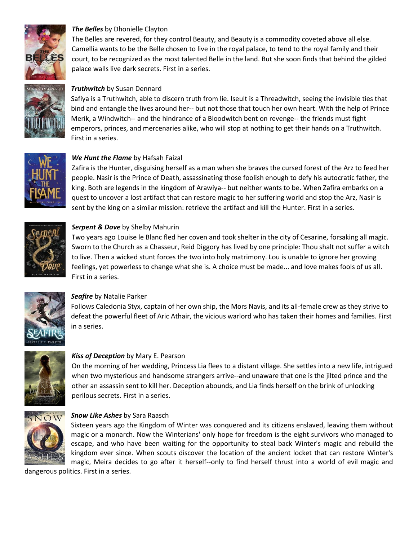

# *The Belles* by Dhonielle Clayton

The Belles are revered, for they control Beauty, and Beauty is a commodity coveted above all else. Camellia wants to be the Belle chosen to live in the royal palace, to tend to the royal family and their court, to be recognized as the most talented Belle in the land. But she soon finds that behind the gilded palace walls live dark secrets. First in a series.



# *Truthwitch* by Susan Dennard

Safiya is a Truthwitch, able to discern truth from lie. Iseult is a Threadwitch, seeing the invisible ties that bind and entangle the lives around her-- but not those that touch her own heart. With the help of Prince Merik, a Windwitch-- and the hindrance of a Bloodwitch bent on revenge-- the friends must fight emperors, princes, and mercenaries alike, who will stop at nothing to get their hands on a Truthwitch. First in a series.



# *We Hunt the Flame* by Hafsah Faizal

Zafira is the Hunter, disguising herself as a man when she braves the cursed forest of the Arz to feed her people. Nasir is the Prince of Death, assassinating those foolish enough to defy his autocratic father, the king. Both are legends in the kingdom of Arawiya-- but neither wants to be. When Zafira embarks on a quest to uncover a lost artifact that can restore magic to her suffering world and stop the Arz, Nasir is sent by the king on a similar mission: retrieve the artifact and kill the Hunter. First in a series.



#### *Serpent & Dove* by Shelby Mahurin

Two years ago Louise le Blanc fled her coven and took shelter in the city of Cesarine, forsaking all magic. Sworn to the Church as a Chasseur, Reid Diggory has lived by one principle: Thou shalt not suffer a witch to live. Then a wicked stunt forces the two into holy matrimony. Lou is unable to ignore her growing feelings, yet powerless to change what she is. A choice must be made... and love makes fools of us all. First in a series.



#### *Seafire* by Natalie Parker

Follows Caledonia Styx, captain of her own ship, the Mors Navis, and its all-female crew as they strive to defeat the powerful fleet of Aric Athair, the vicious warlord who has taken their homes and families. First in a series.



## *Kiss of Deception* by Mary E. Pearson

On the morning of her wedding, Princess Lia flees to a distant village. She settles into a new life, intrigued when two mysterious and handsome strangers arrive--and unaware that one is the jilted prince and the other an assassin sent to kill her. Deception abounds, and Lia finds herself on the brink of unlocking perilous secrets. First in a series.



#### *Snow Like Ashes* by Sara Raasch

Sixteen years ago the Kingdom of Winter was conquered and its citizens enslaved, leaving them without magic or a monarch. Now the Winterians' only hope for freedom is the eight survivors who managed to escape, and who have been waiting for the opportunity to steal back Winter's magic and rebuild the kingdom ever since. When scouts discover the location of the ancient locket that can restore Winter's magic, Meira decides to go after it herself--only to find herself thrust into a world of evil magic and

dangerous politics. First in a series.